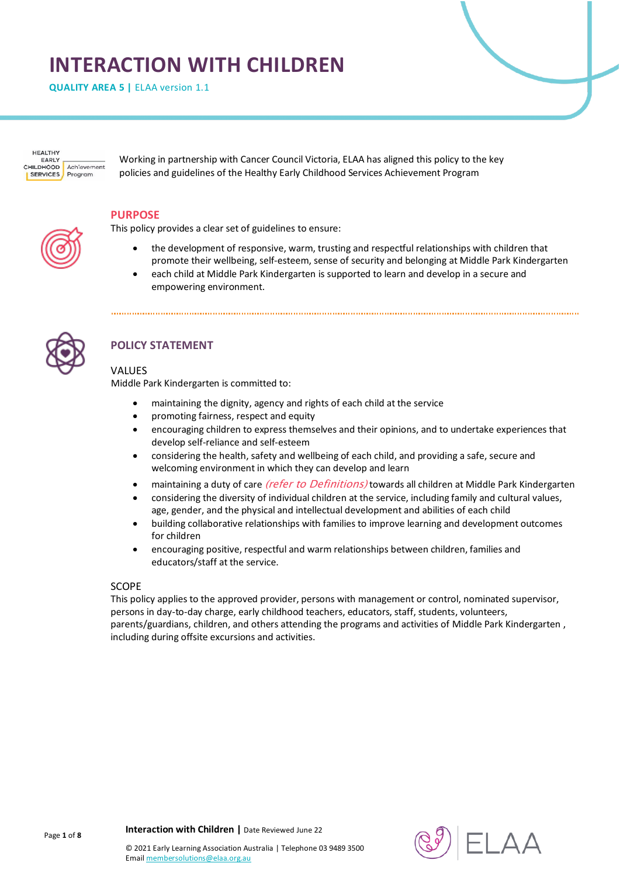# **INTERACTION WITH CHILDREN**

**QUALITY AREA 5 | ELAA version 1.1** 



Working in partnership with Cancer Council Victoria, ELAA has aligned this policy to the key policies and guidelines of the Healthy Early Childhood Services Achievement Program

#### **PURPOSE**

This policy provides a clear set of guidelines to ensure:

- the development of responsive, warm, trusting and respectful relationships with children that promote their wellbeing, self-esteem, sense of security and belonging at Middle Park Kindergarten
- each child at Middle Park Kindergarten is supported to learn and develop in a secure and empowering environment.



# **POLICY STATEMENT**

## VALUES

Middle Park Kindergarten is committed to:

- maintaining the dignity, agency and rights of each child at the service
- promoting fairness, respect and equity
- encouraging children to express themselves and their opinions, and to undertake experiences that develop self-reliance and self-esteem
- considering the health, safety and wellbeing of each child, and providing a safe, secure and welcoming environment in which they can develop and learn
- maintaining a duty of care *(refer to Definitions)* towards all children at Middle Park Kindergarten
- considering the diversity of individual children at the service, including family and cultural values, age, gender, and the physical and intellectual development and abilities of each child
- building collaborative relationships with families to improve learning and development outcomes for children
- encouraging positive, respectful and warm relationships between children, families and educators/staff at the service.

#### SCOPE

This policy applies to the approved provider, persons with management or control, nominated supervisor, persons in day-to-day charge, early childhood teachers, educators, staff, students, volunteers, parents/guardians, children, and others attending the programs and activities of Middle Park Kindergarten , including during offsite excursions and activities.

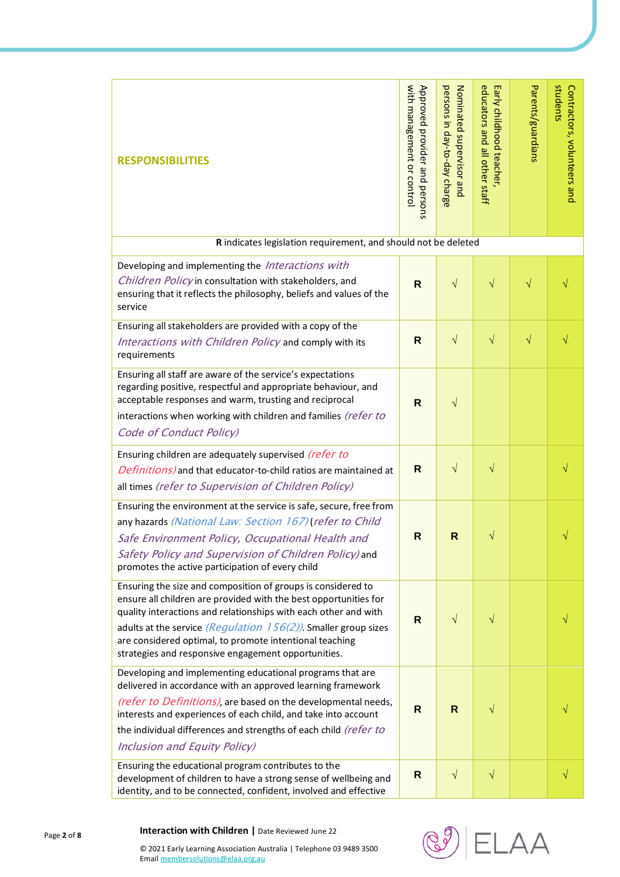| <b>RESPONSIBILITIES</b>                                                                                                                                                                                                                                                                                                                                                                         | with management or control<br>Approved provider and persons | persons in day-to-day charge<br>Nominated supervisor and | educators and all other staff<br>Early childhood teacher | Parents/guardians | students<br>Contractors, volunteers and |
|-------------------------------------------------------------------------------------------------------------------------------------------------------------------------------------------------------------------------------------------------------------------------------------------------------------------------------------------------------------------------------------------------|-------------------------------------------------------------|----------------------------------------------------------|----------------------------------------------------------|-------------------|-----------------------------------------|
| R indicates legislation requirement, and should not be deleted                                                                                                                                                                                                                                                                                                                                  |                                                             |                                                          |                                                          |                   |                                         |
| Developing and implementing the <i>Interactions with</i><br>Children Policy in consultation with stakeholders, and<br>ensuring that it reflects the philosophy, beliefs and values of the<br>service                                                                                                                                                                                            | $\mathsf{R}$                                                | $\sqrt{ }$                                               | $\sqrt{}$                                                | $\sqrt{}$         |                                         |
| Ensuring all stakeholders are provided with a copy of the<br>Interactions with Children Policy and comply with its<br>requirements                                                                                                                                                                                                                                                              | R                                                           | $\sqrt{ }$                                               | $\sqrt{}$                                                | $\sqrt{}$         |                                         |
| Ensuring all staff are aware of the service's expectations<br>regarding positive, respectful and appropriate behaviour, and<br>acceptable responses and warm, trusting and reciprocal<br>interactions when working with children and families (refer to<br>Code of Conduct Policy)                                                                                                              | $\mathsf{R}$                                                | $\sqrt{}$                                                |                                                          |                   |                                         |
| Ensuring children are adequately supervised (refer to<br>Definitions) and that educator-to-child ratios are maintained at<br>all times (refer to Supervision of Children Policy)                                                                                                                                                                                                                | R                                                           | $\sqrt{}$                                                | $\sqrt{}$                                                |                   |                                         |
| Ensuring the environment at the service is safe, secure, free from<br>any hazards (National Law: Section 167) (refer to Child<br>Safe Environment Policy, Occupational Health and<br>Safety Policy and Supervision of Children Policy) and<br>promotes the active participation of every child                                                                                                  | R                                                           | R                                                        | V                                                        |                   |                                         |
| Ensuring the size and composition of groups is considered to<br>ensure all children are provided with the best opportunities for<br>quality interactions and relationships with each other and with<br>adults at the service <i>(Regulation 156(2))</i> . Smaller group sizes<br>are considered optimal, to promote intentional teaching<br>strategies and responsive engagement opportunities. | R                                                           | $\sqrt{}$                                                | $\sqrt{}$                                                |                   |                                         |
| Developing and implementing educational programs that are<br>delivered in accordance with an approved learning framework<br>(refer to Definitions), are based on the developmental needs,<br>interests and experiences of each child, and take into account<br>the individual differences and strengths of each child (refer to<br>Inclusion and Equity Policy)                                 | R                                                           | $\mathsf{R}$                                             | $\sqrt{}$                                                |                   |                                         |
| Ensuring the educational program contributes to the<br>development of children to have a strong sense of wellbeing and<br>identity, and to be connected, confident, involved and effective                                                                                                                                                                                                      | R                                                           | $\sqrt{ }$                                               | $\sqrt{}$                                                |                   | V                                       |



© 2021 Early Learning Association Australia | Telephone 03 9489 3500

Emai[l membersolutions@elaa.org.au](mailto:membersolutions@elaa.org.au)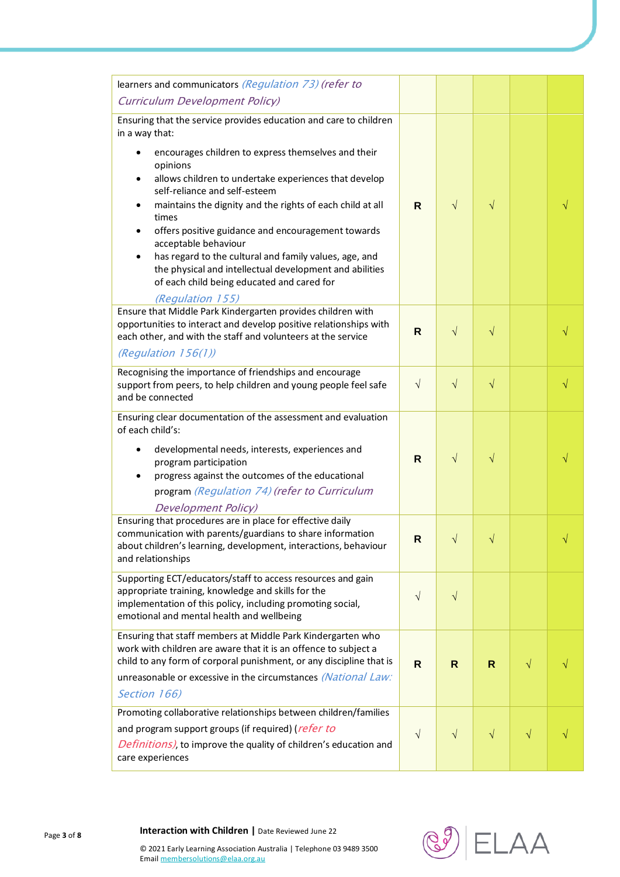| learners and communicators (Regulation 73) (refer to                                                                                                                                                                                                                                                                                                                                                                                           |              |           |           |           |          |
|------------------------------------------------------------------------------------------------------------------------------------------------------------------------------------------------------------------------------------------------------------------------------------------------------------------------------------------------------------------------------------------------------------------------------------------------|--------------|-----------|-----------|-----------|----------|
| <b>Curriculum Development Policy)</b>                                                                                                                                                                                                                                                                                                                                                                                                          |              |           |           |           |          |
| Ensuring that the service provides education and care to children<br>in a way that:<br>encourages children to express themselves and their<br>opinions                                                                                                                                                                                                                                                                                         |              |           |           |           |          |
| allows children to undertake experiences that develop<br>self-reliance and self-esteem<br>maintains the dignity and the rights of each child at all<br>times<br>offers positive guidance and encouragement towards<br>acceptable behaviour<br>has regard to the cultural and family values, age, and<br>$\bullet$<br>the physical and intellectual development and abilities<br>of each child being educated and cared for<br>(Regulation 155) | R.           | $\sqrt{}$ | $\sqrt{}$ |           |          |
| Ensure that Middle Park Kindergarten provides children with<br>opportunities to interact and develop positive relationships with<br>each other, and with the staff and volunteers at the service<br>(Regulation $156(1)$ )                                                                                                                                                                                                                     | R            | $\sqrt{}$ | $\sqrt{}$ |           |          |
| Recognising the importance of friendships and encourage<br>support from peers, to help children and young people feel safe<br>and be connected                                                                                                                                                                                                                                                                                                 | $\sqrt{ }$   | $\sqrt{}$ | $\sqrt{}$ |           | V        |
| Ensuring clear documentation of the assessment and evaluation<br>of each child's:                                                                                                                                                                                                                                                                                                                                                              |              |           |           |           |          |
| developmental needs, interests, experiences and<br>program participation<br>progress against the outcomes of the educational<br>program (Regulation 74) (refer to Curriculum                                                                                                                                                                                                                                                                   | $\mathsf{R}$ | $\sqrt{}$ | $\sqrt{}$ |           |          |
| <b>Development Policy</b> )<br>Ensuring that procedures are in place for effective daily<br>communication with parents/guardians to share information<br>about children's learning, development, interactions, behaviour<br>and relationships                                                                                                                                                                                                  | $\mathsf{R}$ | $\sim$    | $\Delta$  |           | $\Delta$ |
| Supporting ECT/educators/staff to access resources and gain<br>appropriate training, knowledge and skills for the<br>implementation of this policy, including promoting social,<br>emotional and mental health and wellbeing                                                                                                                                                                                                                   | $\sqrt{}$    | $\sqrt{}$ |           |           |          |
| Ensuring that staff members at Middle Park Kindergarten who<br>work with children are aware that it is an offence to subject a<br>child to any form of corporal punishment, or any discipline that is<br>unreasonable or excessive in the circumstances (National Law:<br>Section 166)                                                                                                                                                         | $\mathsf{R}$ | R.        | R         | $\sqrt{}$ |          |
| Promoting collaborative relationships between children/families<br>and program support groups (if required) ( <i>refer to</i><br>Definitions), to improve the quality of children's education and<br>care experiences                                                                                                                                                                                                                          | $\sqrt{}$    | $\sqrt{}$ | $\sqrt{}$ | $\sqrt{}$ |          |

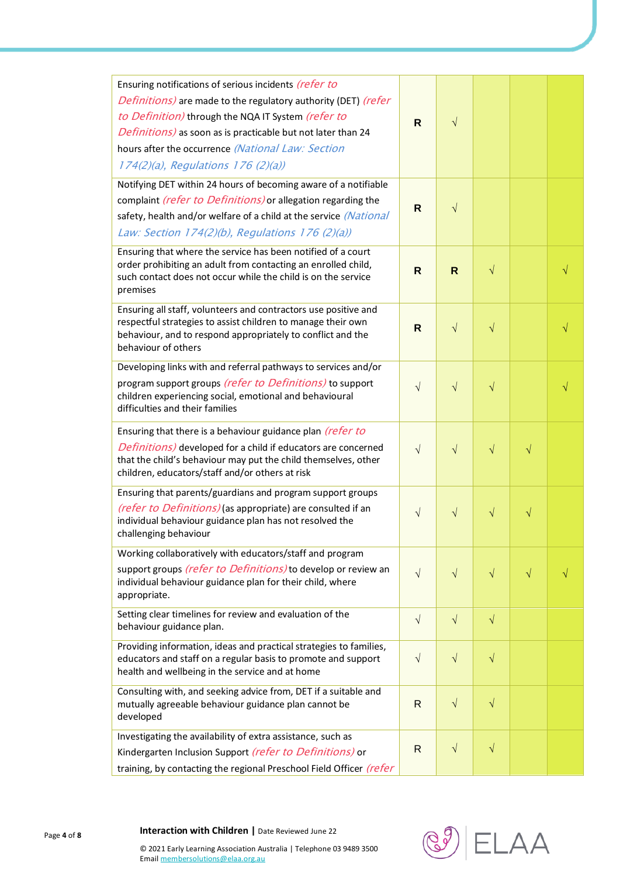| Ensuring notifications of serious incidents (refer to<br>Definitions) are made to the regulatory authority (DET) (refer<br>to Definition) through the NQA IT System (refer to<br>Definitions) as soon as is practicable but not later than 24<br>hours after the occurrence (National Law: Section<br>174(2)(a), Regulations 176 (2)(a)) | $\mathsf{R}$ | $\sqrt{}$ |           |           |  |
|------------------------------------------------------------------------------------------------------------------------------------------------------------------------------------------------------------------------------------------------------------------------------------------------------------------------------------------|--------------|-----------|-----------|-----------|--|
| Notifying DET within 24 hours of becoming aware of a notifiable<br>complaint (refer to Definitions) or allegation regarding the<br>safety, health and/or welfare of a child at the service (National<br>Law: Section 174(2)(b), Regulations 176 (2)(a))                                                                                  | $\mathsf{R}$ | $\sqrt{}$ |           |           |  |
| Ensuring that where the service has been notified of a court<br>order prohibiting an adult from contacting an enrolled child,<br>such contact does not occur while the child is on the service<br>premises                                                                                                                               | $\mathsf{R}$ | R.        | $\sqrt{}$ |           |  |
| Ensuring all staff, volunteers and contractors use positive and<br>respectful strategies to assist children to manage their own<br>behaviour, and to respond appropriately to conflict and the<br>behaviour of others                                                                                                                    | $\mathsf{R}$ | $\sqrt{}$ | $\sqrt{}$ |           |  |
| Developing links with and referral pathways to services and/or<br>program support groups (refer to Definitions) to support<br>children experiencing social, emotional and behavioural<br>difficulties and their families                                                                                                                 | $\sqrt{}$    | $\sqrt{}$ | $\sqrt{}$ |           |  |
| Ensuring that there is a behaviour guidance plan (refer to<br>Definitions) developed for a child if educators are concerned<br>that the child's behaviour may put the child themselves, other<br>children, educators/staff and/or others at risk                                                                                         | $\sqrt{}$    | $\sqrt{}$ | $\sqrt{}$ | $\sqrt{}$ |  |
| Ensuring that parents/guardians and program support groups<br>(refer to Definitions) (as appropriate) are consulted if an<br>individual behaviour guidance plan has not resolved the<br>challenging behaviour                                                                                                                            | $\sqrt{}$    | $\sqrt{}$ | $\sqrt{}$ | $\sqrt{}$ |  |
| Working collaboratively with educators/staff and program<br>support groups (refer to Definitions) to develop or review an<br>individual behaviour guidance plan for their child, where<br>appropriate.                                                                                                                                   | $\sqrt{}$    | $\sqrt{}$ | $\sqrt{}$ | $\sqrt{}$ |  |
| Setting clear timelines for review and evaluation of the<br>behaviour guidance plan.                                                                                                                                                                                                                                                     | $\sqrt{}$    | $\sqrt{}$ | $\sqrt{}$ |           |  |
| Providing information, ideas and practical strategies to families,<br>educators and staff on a regular basis to promote and support<br>health and wellbeing in the service and at home                                                                                                                                                   | $\sqrt{}$    | $\sqrt{}$ | $\sqrt{}$ |           |  |
| Consulting with, and seeking advice from, DET if a suitable and<br>mutually agreeable behaviour guidance plan cannot be<br>developed                                                                                                                                                                                                     | R            | $\sqrt{}$ | $\sqrt{}$ |           |  |
| Investigating the availability of extra assistance, such as<br>Kindergarten Inclusion Support (refer to Definitions) or<br>training, by contacting the regional Preschool Field Officer (refer                                                                                                                                           | $\mathsf{R}$ | $\sqrt{}$ | $\sqrt{}$ |           |  |



© 2021 Early Learning Association Australia | Telephone 03 9489 3500 Emai[l membersolutions@elaa.org.au](mailto:membersolutions@elaa.org.au)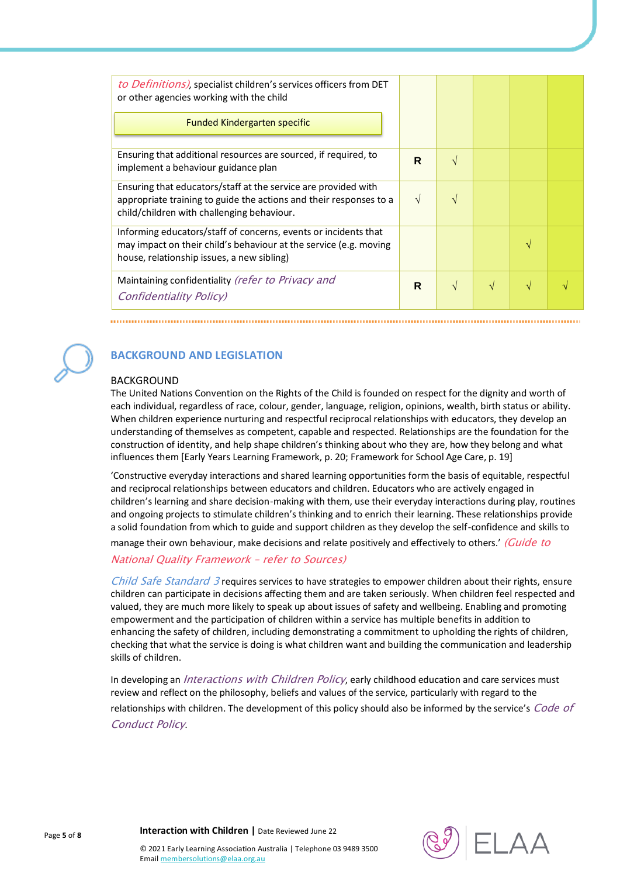| to Definitions), specialist children's services officers from DET<br>or other agencies working with the child                                                                      |               |               |   |  |
|------------------------------------------------------------------------------------------------------------------------------------------------------------------------------------|---------------|---------------|---|--|
| <b>Funded Kindergarten specific</b>                                                                                                                                                |               |               |   |  |
| Ensuring that additional resources are sourced, if required, to<br>implement a behaviour guidance plan                                                                             | R             | $\sqrt{ }$    |   |  |
| Ensuring that educators/staff at the service are provided with<br>appropriate training to guide the actions and their responses to a<br>child/children with challenging behaviour. | $\mathcal{N}$ | $\mathcal{N}$ |   |  |
| Informing educators/staff of concerns, events or incidents that<br>may impact on their child's behaviour at the service (e.g. moving<br>house, relationship issues, a new sibling) |               |               |   |  |
| Maintaining confidentiality (refer to Privacy and<br><b>Confidentiality Policy</b> )                                                                                               | R             | $\sqrt{ }$    | V |  |



# **BACKGROUND AND LEGISLATION**

## BACKGROUND

The United Nations Convention on the Rights of the Child is founded on respect for the dignity and worth of each individual, regardless of race, colour, gender, language, religion, opinions, wealth, birth status or ability. When children experience nurturing and respectful reciprocal relationships with educators, they develop an understanding of themselves as competent, capable and respected. Relationships are the foundation for the construction of identity, and help shape children's thinking about who they are, how they belong and what influences them [Early Years Learning Framework, p. 20; Framework for School Age Care, p. 19]

'Constructive everyday interactions and shared learning opportunities form the basis of equitable, respectful and reciprocal relationships between educators and children. Educators who are actively engaged in children's learning and share decision-making with them, use their everyday interactions during play, routines and ongoing projects to stimulate children's thinking and to enrich their learning. These relationships provide a solid foundation from which to guide and support children as they develop the self-confidence and skills to

manage their own behaviour, make decisions and relate positively and effectively to others.' (Guide to

## National Quality Framework – refer to Sources)

Child Safe Standard 3 requires services to have strategies to empower children about their rights, ensure children can participate in decisions affecting them and are taken seriously. When children feel respected and valued, they are much more likely to speak up about issues of safety and wellbeing. Enabling and promoting empowerment and the participation of children within a service has multiple benefits in addition to enhancing the safety of children, including demonstrating a commitment to upholding the rights of children, checking that what the service is doing is what children want and building the communication and leadership skills of children.

In developing an *Interactions with Children Policy*, early childhood education and care services must review and reflect on the philosophy, beliefs and values of the service, particularly with regard to the relationships with children. The development of this policy should also be informed by the service's Code of Conduct Policy.

**Interaction with Children |** Date Reviewed June 22

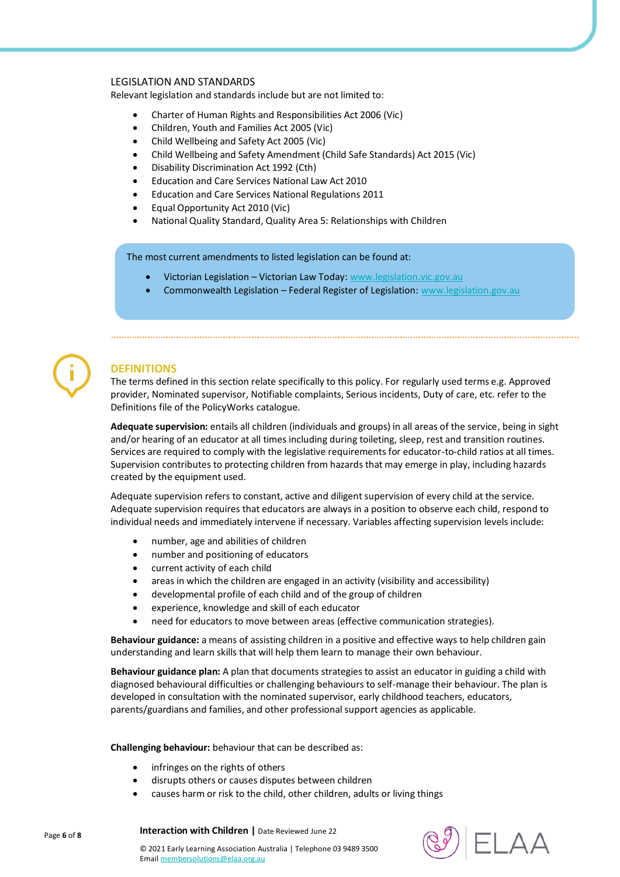#### LEGISLATION AND STANDARDS

Relevant legislation and standards include but are not limited to:

- Charter of Human Rights and Responsibilities Act 2006 (Vic)
- Children, Youth and Families Act 2005 (Vic)
- Child Wellbeing and Safety Act 2005 (Vic)
- Child Wellbeing and Safety Amendment (Child Safe Standards) Act 2015 (Vic)
- Disability Discrimination Act 1992 (Cth)
- Education and Care Services National Law Act 2010
- Education and Care Services National Regulations 2011
- Equal Opportunity Act 2010 (Vic)
- National Quality Standard, Quality Area 5: Relationships with Children

The most current amendments to listed legislation can be found at:

- Victorian Legislation Victorian Law Today: [www.legislation.vic.gov.au](http://www.legislation.vic.gov.au/)
- Commonwealth Legislation Federal Register of Legislation: [www.legislation.gov.au](http://www.legislation.gov.au/)



# **DEFINITIONS**

The terms defined in this section relate specifically to this policy. For regularly used terms e.g. Approved provider, Nominated supervisor, Notifiable complaints, Serious incidents, Duty of care, etc. refer to the Definitions file of the PolicyWorks catalogue.

**Adequate supervision:** entails all children (individuals and groups) in all areas of the service, being in sight and/or hearing of an educator at all times including during toileting, sleep, rest and transition routines. Services are required to comply with the legislative requirements for educator-to-child ratios at all times. Supervision contributes to protecting children from hazards that may emerge in play, including hazards created by the equipment used.

Adequate supervision refers to constant, active and diligent supervision of every child at the service. Adequate supervision requires that educators are always in a position to observe each child, respond to individual needs and immediately intervene if necessary. Variables affecting supervision levels include:

- number, age and abilities of children
- number and positioning of educators
- current activity of each child
- areas in which the children are engaged in an activity (visibility and accessibility)
- developmental profile of each child and of the group of children
- experience, knowledge and skill of each educator
- need for educators to move between areas (effective communication strategies).

**Behaviour guidance:** a means of assisting children in a positive and effective ways to help children gain understanding and learn skills that will help them learn to manage their own behaviour.

**Behaviour guidance plan:** A plan that documents strategies to assist an educator in guiding a child with diagnosed behavioural difficulties or challenging behaviours to self-manage their behaviour. The plan is developed in consultation with the nominated supervisor, early childhood teachers, educators, parents/guardians and families, and other professional support agencies as applicable.

#### **Challenging behaviour:** behaviour that can be described as:

**Interaction with Children |** Date Reviewed June 22

- infringes on the rights of others
- disrupts others or causes disputes between children
- causes harm or risk to the child, other children, adults or living things



© 2021 Early Learning Association Australia | Telephone 03 9489 3500 Emai[l membersolutions@elaa.org.au](mailto:membersolutions@elaa.org.au)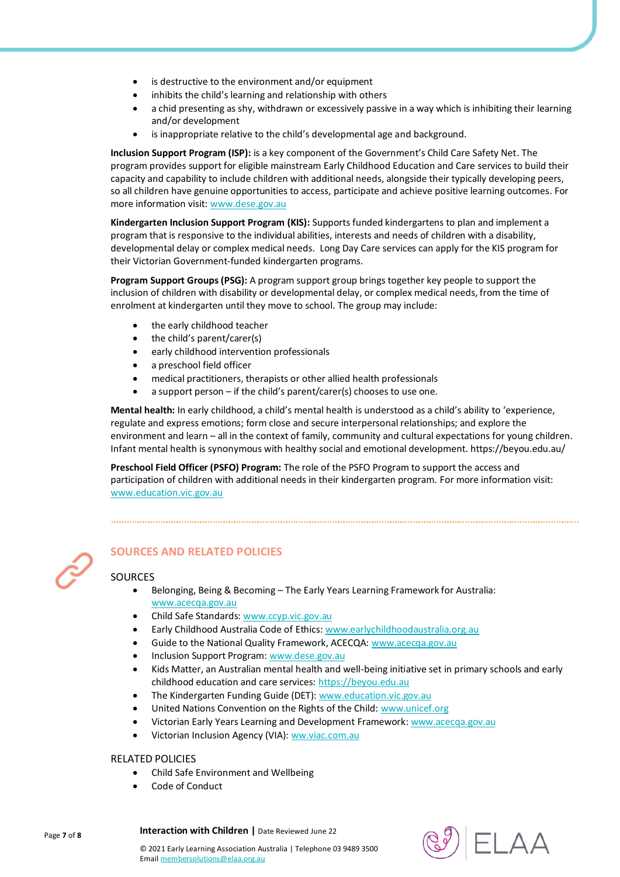- is destructive to the environment and/or equipment
- inhibits the child's learning and relationship with others
- a chid presenting as shy, withdrawn or excessively passive in a way which is inhibiting their learning and/or development
- is inappropriate relative to the child's developmental age and background.

**Inclusion Support Program (ISP):** is a key component of the Government's Child Care Safety Net. The program provides support for eligible mainstream Early Childhood Education and Care services to build their capacity and capability to include children with additional needs, alongside their typically developing peers, so all children have genuine opportunities to access, participate and achieve positive learning outcomes. For more information visit: [www.dese.gov.au](https://www.dese.gov.au/)

**Kindergarten Inclusion Support Program (KIS):** Supports funded kindergartens to plan and implement a program that is responsive to the individual abilities, interests and needs of children with a disability, developmental delay or complex medical needs.Long Day Care services can apply for the KIS program for their Victorian Government-funded kindergarten programs.

**Program Support Groups (PSG):** A program support group brings together key people to support the inclusion of children with disability or developmental delay, or complex medical needs, from the time of enrolment at kindergarten until they move to school. The group may include:

- the early childhood teacher
- the child's parent/carer(s)
- early childhood intervention professionals
- a preschool field officer
- medical practitioners, therapists or other allied health professionals
- a support person if the child's parent/carer(s) chooses to use one.

**Mental health:** In early childhood, a child's mental health is understood as a child's ability to 'experience, regulate and express emotions; form close and secure interpersonal relationships; and explore the environment and learn – all in the context of family, community and cultural expectations for young children. Infant mental health is synonymous with healthy social and emotional development. https://beyou.edu.au/

**Preschool Field Officer (PSFO) Program:** The role of the PSFO Program to support the access and participation of children with additional needs in their kindergarten program. For more information visit: [www.education.vic.gov.au](http://www.education.vic.gov.au/)



# **SOURCES AND RELATED POLICIES**

## SOURCES

- Belonging, Being & Becoming The Early Years Learning Framework for Australia: [www.acecqa.gov.au](http://www.acecqa.gov.au/)
- Child Safe Standards[: www.ccyp.vic.gov.au](https://ccyp.vic.gov.au/)
- Early Childhood Australia Code of Ethics[: www.earlychildhoodaustralia.org.au](http://www.earlychildhoodaustralia.org.au/)
- Guide to the National Quality Framework, ACECQA: [www.acecqa.gov.au](http://www.acecqa.gov.au/)
- Inclusion Support Program[: www.dese.gov.au](https://www.dese.gov.au/)
- Kids Matter, an Australian mental health and well-being initiative set in primary schools and early childhood education and care services[: https://beyou.edu.au](https://beyou.edu.au/)
- The Kindergarten Funding Guide (DET)[: www.education.vic.gov.au](https://www.education.vic.gov.au/Pages/default.aspx)
- United Nations Convention on the Rights of the Child[: www.unicef.org](https://www.unicef.org/)
- Victorian Early Years Learning and Development Framework[: www.acecqa.gov.au](http://www.acecqa.gov.au/)
- Victorian Inclusion Agency (VIA)[: ww.viac.com.au](https://viac.com.au/)

#### RELATED POLICIES

- Child Safe Environment and Wellbeing
- Code of Conduct

Page **7** of **8**

**Interaction with Children |** Date Reviewed June 22